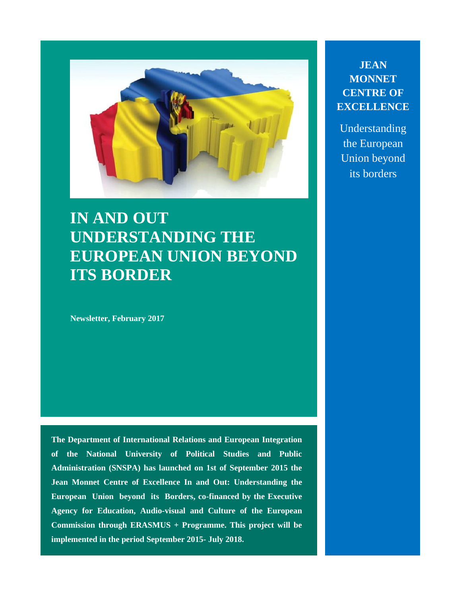

# **IN AND OUT UNDERSTANDING THE EUROPEAN UNION BEYOND ITS BORDER**

**Newsletter, February 2017**

**The Department of International Relations and European Integration of the National University of Political Studies and Public Administration (SNSPA) has launched on 1st of September 2015 the Jean Monnet Centre of Excellence In and Out: Understanding the European Union beyond its Borders, co-financed by the Executive Agency for Education, Audio-visual and Culture of the European Commission through ERASMUS + Programme. This project will be implemented in the period September 2015- July 2018.**

**JEAN MONNET CENTRE OF EXCELLENCE**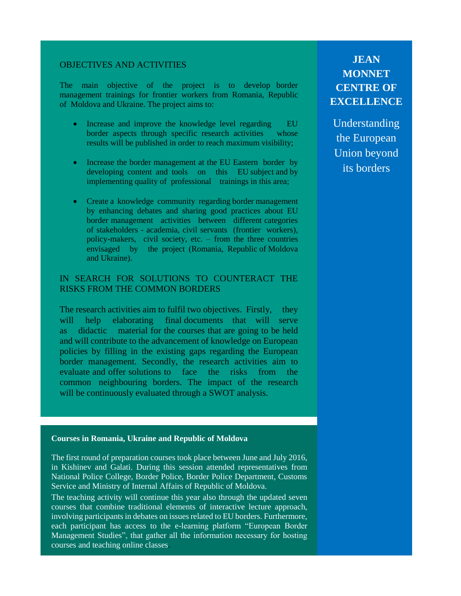#### OBJECTIVES AND ACTIVITIES

The main objective of the project is to develop border management trainings for frontier workers from Romania, Republic of Moldova and Ukraine. The project aims to:

- Increase and improve the knowledge level regarding EU border aspects through specific research activities whose results will be published in order to reach maximum visibility;
- Increase the border management at the EU Eastern border by developing content and tools on this EU subject and by implementing quality of professional trainings in this area;
- Create a knowledge community regarding border management by enhancing debates and sharing good practices about EU border management activities between different categories of stakeholders - academia, civil servants (frontier workers), policy-makers, civil society, etc. – from the three countries envisaged by the project (Romania, Republic of Moldova and Ukraine).

#### IN SEARCH FOR SOLUTIONS TO COUNTERACT THE RISKS FROM THE COMMON BORDERS

The research activities aim to fulfil two objectives. Firstly, they will help elaborating final documents that will serve as didactic material for the courses that are going to be held and will contribute to the advancement of knowledge on European policies by filling in the existing gaps regarding the European border management. Secondly, the research activities aim to evaluate and offer solutions to face the risks from the common neighbouring borders. The impact of the research will be continuously evaluated through a SWOT analysis.

#### **Courses in Romania, Ukraine and Republic of Moldova**

The first round of preparation courses took place between June and July 2016, in Kishinev and Galati. During this session attended representatives from National Police College, Border Police, Border Police Department, Customs Service and Ministry of Internal Affairs of Republic of Moldova.

The teaching activity will continue this year also through the updated seven courses that combine traditional elements of interactive lecture approach, involving participants in debates on issues related to EU borders. Furthermore, each participant has access to the e-learning platform "European Border Management Studies", that gather all the information necessary for hosting courses and teaching online classes.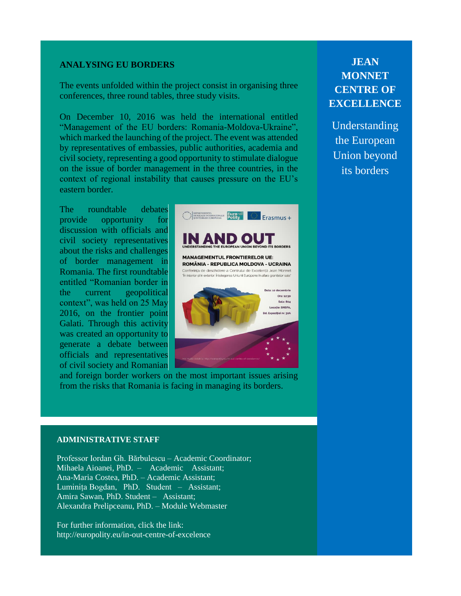#### **ANALYSING EU BORDERS**

The events unfolded within the project consist in organising three conferences, three round tables, three study visits.

On December 10, 2016 was held the international entitled "Management of the EU borders: Romania-Moldova-Ukraine", which marked the launching of the project. The event was attended by representatives of embassies, public authorities, academia and civil society, representing a good opportunity to stimulate dialogue on the issue of border management in the three countries, in the context of regional instability that causes pressure on the EU's eastern border.

The roundtable debates provide opportunity for discussion with officials and civil society representatives about the risks and challenges of border management in Romania. The first roundtable entitled "Romanian border in the current geopolitical context", was held on 25 May 2016, on the frontier point Galati. Through this activity was created an opportunity to generate a debate between officials and representatives of civil society and Romanian



and foreign border workers on the most important issues arising from the risks that Romania is facing in managing its borders.

#### **ADMINISTRATIVE STAFF**

Professor Iordan Gh. Bărbulescu – Academic Coordinator; Mihaela Aioanei, PhD. – Academic Assistant; Ana-Maria Costea, PhD. – Academic Assistant; Luminița Bogdan, PhD. Student – Assistant; Amira Sawan, PhD. Student – Assistant; Alexandra Prelipceanu, PhD. – Module Webmaster

For further information, click the link: http://europolity.eu/in-out-centre-of-excelence

## **JEAN MONNET CENTRE OF EXCELLENCE**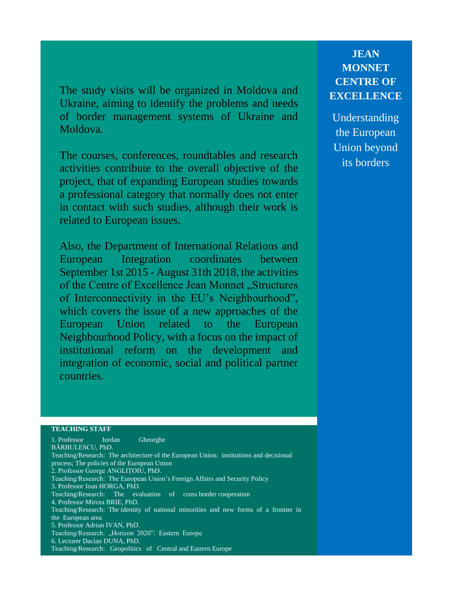The study visits will be organized in Moldova and Ukraine, aiming to identify the problems and needs of border management systems of Ukraine and Moldova.

The courses, conferences, roundtables and research activities contribute to the overall objective of the project, that of expanding European studies towards a professional category that normally does not enter in contact with such studies, although their work is related to European issues.

Also, the Department of International Relations and European Integration coordinates between September 1st 2015 - August 31th 2018, the activities of the Centre of Excellence Jean Monnet "Structures of Interconnectivity in the EU's Neighbourhood", which covers the issue of a new approaches of the European Union related to the European Neighbourhood Policy, with a focus on the impact of institutional reform on the development and integration of economic, social and political partner countries.

## **JEAN MONNET CENTRE OF EXCELLENCE**

Understanding the European Union beyond its borders

#### **TEACHING STAFF**

Echipa de implementare: Prof. univ. Ioan HORGA, PhD. Ioan Gh. Bărbulescu – Bărbulescu – Bărbulescu – Bărbulescu – Bărbulescu – Bărbulescu – Bărbulescu – Bărbulescu – Bărbulescu – Bărbulescu – Bărbulescu – Bărbulescu – Bărb Teaching/Research: The evaluation of cross border cooperation TOIESSOF MIFCEA BKIE, FND.<br>Seking Desearch: The identity of national minerities, and new forms of a frantier i Teaching/Research: The identity of national minorities and new forms of a frontier in<br>the Euronean area 5. Professor Adrian IVAN, PhD. 6. Lecturer Dacian DUNA, PhD. Teaching/Research: Geopolitics of Central and Eastern Europe 1. Professor Iordan Gheorghe BĂRBULESCU, PhD. Teaching/Research: The architecture of the European Union: institutions and decisional process; The policies of the European Union 2. Professor George ANGLIȚOIU, PhD. Teaching/Research: The European Union's Foreign Affairs and Security Policy 4. Professor Mircea BRIE, PhD. the European area Teaching/Research: "Horizon 2020": Eastern Europe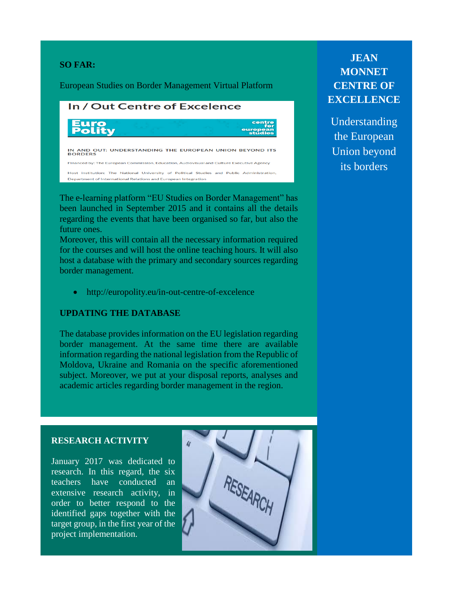#### **SO FAR:**

European Studies on Border Management Virtual Platform

## In / Out Centre of Excelence IN AND OUT: UNDERSTANDING THE EUROPEAN UNION BEYOND ITS<br>BORDERS Financed by: The European Commission, Education, Audiovisual and Culture Executive Agency Host institution: The National University of Political Studies and Public Administration, Department of International Relations and European Integration

The e-learning platform "EU Studies on Border Management" has been launched in September 2015 and it contains all the details regarding the events that have been organised so far, but also the future ones.

Moreover, this will contain all the necessary information required for the courses and will host the online teaching hours. It will also host a database with the primary and secondary sources regarding border management.

http://europolity.eu/in-out-centre-of-excelence

#### **UPDATING THE DATABASE**

The database provides information on the EU legislation regarding border management. At the same time there are available information regarding the national legislation from the Republic of Moldova, Ukraine and Romania on the specific aforementioned subject. Moreover, we put at your disposal reports, analyses and academic articles regarding border management in the region.

## **JEAN MONNET CENTRE OF EXCELLENCE**

Understanding the European Union beyond its borders

#### **RESEARCH ACTIVITY**

http://europolity.eu/database

January 2017 was dedicated to research. In this regard, the six teachers have conducted an extensive research activity, in order to better respond to the identified gaps together with the target group, in the first year of the project implementation.

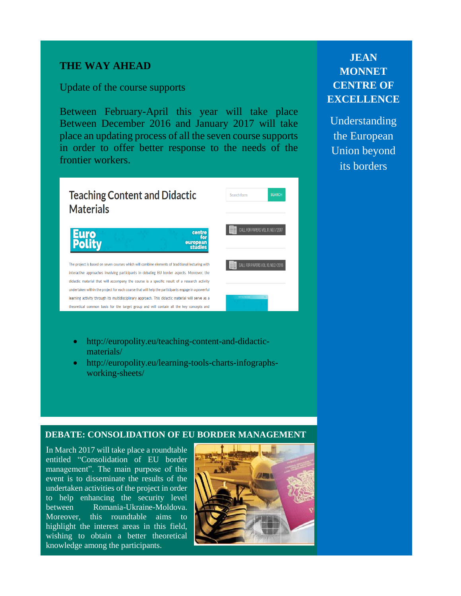#### **THE WAY AHEAD**

Update of the course supports

Between February-April this year will take place Between December 2016 and January 2017 will take place an updating process of all the seven course supports in order to offer better response to the needs of the frontier workers.



- http://europolity.eu/teaching-content-and-didacticmaterials/
- http://europolity.eu/learning-tools-charts-infographsworking-sheets/

#### **DEBATE: CONSOLIDATION OF EU BORDER MANAGEMENT**

In March 2017 will take place a roundtable entitled "Consolidation of EU border management". The main purpose of this event is to disseminate the results of the undertaken activities of the project in order to help enhancing the security level between Romania-Ukraine-Moldova. Moreover, this roundtable aims to highlight the interest areas in this field, wishing to obtain a better theoretical knowledge among the participants.



## **JEAN MONNET CENTRE OF EXCELLENCE**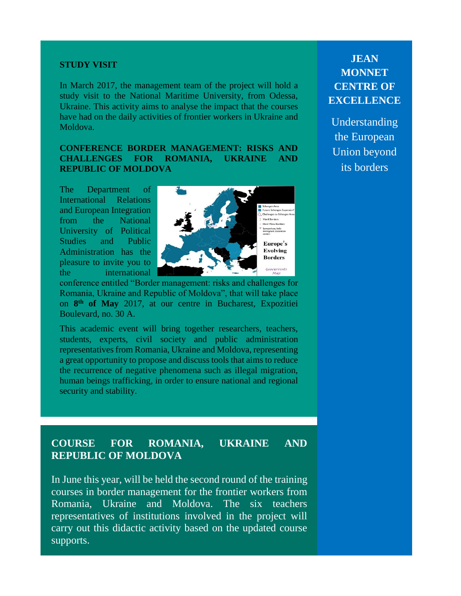#### **STUDY VISIT**

In March 2017, the management team of the project will hold a study visit to the National Maritime University, from Odessa, Ukraine. This activity aims to analyse the impact that the courses have had on the daily activities of frontier workers in Ukraine and Moldova.

#### **CONFERENCE BORDER MANAGEMENT: RISKS AND CHALLENGES FOR ROMANIA, UKRAINE AND REPUBLIC OF MOLDOVA**

The Department of International Relations and European Integration from the National University of Political Studies and Public Administration has the pleasure to invite you to the international



conference entitled "Border management: risks and challenges for Romania, Ukraine and Republic of Moldova", that will take place on **8 th of May** 2017, at our centre in Bucharest, Expozitiei Boulevard, no. 30 A.

This academic event will bring together researchers, teachers, students, experts, civil society and public administration representatives from Romania, Ukraine and Moldova, representing a great opportunity to propose and discuss tools that aims to reduce the recurrence of negative phenomena such as illegal migration, human beings trafficking, in order to ensure national and regional security and stability.

### **COURSE FOR ROMANIA, UKRAINE AND REPUBLIC OF MOLDOVA**

In June this year, will be held the second round of the training courses in border management for the frontier workers from Romania, Ukraine and Moldova. The six teachers representatives of institutions involved in the project will carry out this didactic activity based on the updated course supports.

## **JEAN MONNET CENTRE OF EXCELLENCE**